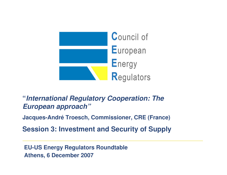

### **"International Regulatory Cooperation: The European approach"**

**Jacques-André Troesch, Commissioner, CRE (France)**

**Session 3: Investment and Security of Supply**

**EU-US Energy Regulators Roundtable Athens, 6 December 2007**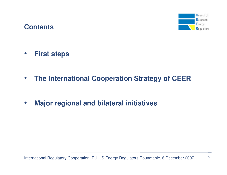#### Council of European Energy Regulators

 $\bullet$ **First steps**

**Contents**

- $\bullet$ **The International Cooperation Strategy of CEER**
- $\bullet$ **Major regional and bilateral initiatives**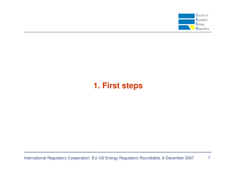

### **1. First steps**

International Regulatory Cooperation, EU-US Energy Regulators Roundtable, 6 December 2007

3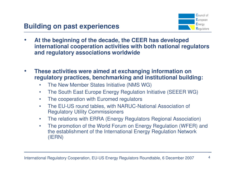

- • **At the beginning of the decade, the CEER has developed international cooperation activities with both national regulators and regulatory associations worldwide**
- • **These activities were aimed at exchanging information on regulatory practices, benchmarking and institutional building:**
	- $\bullet$ The New Member States Initiative (NMS WG)
	- $\bullet$ The South East Europe Energy Regulation Initiative (SEEER WG)
	- $\bullet$ The cooperation with Euromed regulators
	- • The EU-US round tables, with NARUC-National Association of Regulatory Utility Commissioners
	- $\bullet$ The relations with ERRA (Energy Regulators Regional Association)
	- • The promotion of the World Forum on Energy Regulation (WFER) andthe establishment of the International Energy Regulation Network(IERN)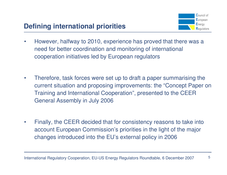

- $\bullet$  However, halfway to 2010, experience has proved that there was aneed for better coordination and monitoring of international cooperation initiatives led by European regulators
- $\bullet$  Therefore, task forces were set up to draft a paper summarising the current situation and proposing improvements: the "Concept Paper on Training and International Cooperation", presented to the CEER General Assembly in July 2006
- • Finally, the CEER decided that for consistency reasons to take into account European Commission's priorities in the light of the major changes introduced into the EU's external policy in 2006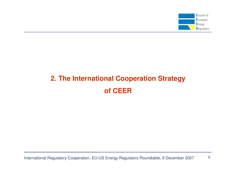

# **2. The International Cooperation Strategyof CEER**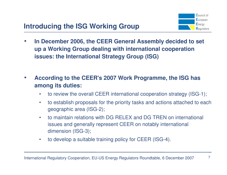

- • **In December 2006, the CEER General Assembly decided to set up a Working Group dealing with international cooperation issues: the International Strategy Group (ISG)**
- • **According to the CEER's 2007 Work Programme, the ISG has among its duties:**
	- $\bullet$ to review the overall CEER international cooperation strategy (ISG-1);
	- $\bullet$  to establish proposals for the priority tasks and actions attached to each geographic area (ISG-2);
	- $\bullet$  to maintain relations with DG RELEX and DG TREN on international issues and generally represent CEER on notably international dimension (ISG-3);
	- $\bullet$ to develop a suitable training policy for CEER (ISG-4).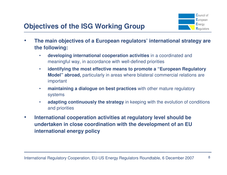

- • **The main objectives of a European regulators' international strategy are the following:**
	- • **developing international cooperation activities** in a coordinated and meaningful way, in accordance with well-defined priorities
	- • **identifying the most effective means to promote a "European Regulatory Model" abroad,** particularly in areas where bilateral commercial relations are important
	- $\bullet$  **maintaining a dialogue on best practices** with other mature regulatory systems
	- •**adapting continuously the strategy** in keeping with the evolution of conditions and priorities
- $\bullet$  **International cooperation activities at regulatory level should be undertaken in close coordination with the development of an EU international energy policy**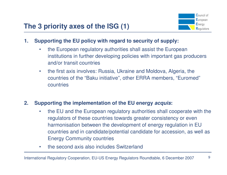

#### **1. Supporting the EU policy with regard to security of supply:**

- • the European regulatory authorities shall assist the European institutions in further developing policies with important gas producers and/or transit countries
- $\bullet$  the first axis involves: Russia, Ukraine and Moldova, Algeria, the countries of the "Baku initiative", other ERRA members, "Euromed"countries

#### **2. Supporting the implementation of the EU energy acquis:**

- • the EU and the European regulatory authorities shall cooperate with the regulators of these countries towards greater consistency or even harmonisation between the development of energy regulation in EU countries and in candidate/potential candidate for accession, as well as Energy Community countries
- $\bullet$ the second axis also includes Switzerland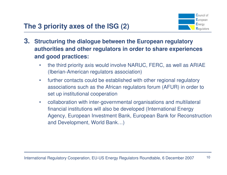

- **3. Structuring the dialogue between the European regulatory authorities and other regulators in order to share experiences and good practices:**
	- • the third priority axis would involve NARUC, FERC, as well as ARIAE (Iberian-American regulators association)
	- $\bullet$  further contacts could be established with other regional regulatory associations such as the African regulators forum (AFUR) in order to set up institutional cooperation
	- $\bullet$  collaboration with inter-governmental organisations and multilateral financial institutions will also be developed (International Energy Agency, European Investment Bank, European Bank for Reconstruction and Development, World Bank…)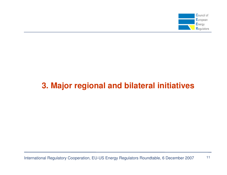

## **3. Major regional and bilateral initiatives**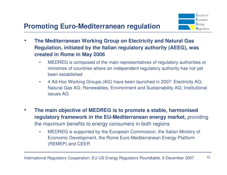- • **The Mediterranean Working Group on Electricity and Natural Gas Regulation, initiated by the Italian regulatory authority (AEEG), was created in Rome in May 2006**
	- • MEDREG is composed of the main representatives of regulatory authorities or ministries of countries where an independent regulatory authority has not yet been established
	- • 4 Ad-Hoc Working Groups (AG) have been launched in 2007: Electricity AG; Natural Gas AG; Renewables, Environment and Sustainability AG; Institutional issues AG
- $\bullet$  **The main objective of MEDREG is to promote a stable, harmonised regulatory framework in the EU-Mediterranean energy market,** providing the maximum benefits to energy consumers in both regions
	- • MEDREG is supported by the European Commission, the Italian Ministry of Economic Development, the Rome Euro-Mediterranean Energy Platform (REMEP) and CEER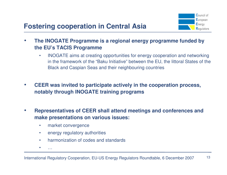

- • **The INOGATE Programme is a regional energy programme funded by the EU's TACIS Programme** 
	- $\bullet$  INOGATE aims at creating opportunities for energy cooperation and networking in the framework of the "Baku Initiative" between the EU, the littoral States of the Black and Caspian Seas and their neighbouring countries
- $\bullet$  **CEER was invited to participate actively in the cooperation process, notably through INOGATE training programs**
- $\bullet$  **Representatives of CEER shall attend meetings and conferences and make presentations on various issues:**
	- $\bullet$ market convergence
	- $\bullet$ energy regulatory authorities
	- •harmonization of codes and standards
	- •…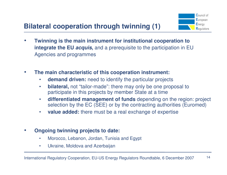- $\bullet$  **Twinning is the main instrument for institutional cooperation to integrate the EU acquis,** and a prerequisite to the participation in EU Agencies and programmes
- $\bullet$  **The main characteristic of this cooperation instrument:**
	- •**demand driven:** need to identify the particular projects
	- • **bilateral,** not "tailor-made": there may only be one proposal to participate in this projects by member State at a time
	- $\bullet$  **differentiated management of funds** depending on the region: project selection by the EC (SEE) or by the contracting authorities (Euromed)
	- $\bullet$ **value added:** there must be a real exchange of expertise
- $\bullet$  **Ongoing twinning projects to date:**
	- •Morocco, Lebanon, Jordan, Tunisia and Egypt
	- •Ukraine, Moldova and Azerbaijan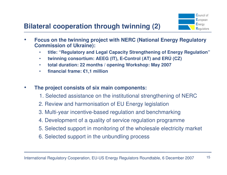- $\bullet$  **Focus on the twinning project with NERC (National Energy Regulatory Commission of Ukraine):**
	- •**title: "Regulatory and Legal Capacity Strengthening of Energy Regulation"**
	- $\bullet$ **twinning consortium: AEEG (IT), E-Control (AT) and ERÚ (CZ)**
	- $\bullet$ **total duration: 22 months / opening Workshop: May 2007**
	- •**financial frame: €1,1 million**
- • **The project consists of six main components:**
	- 1. Selected assistance on the institutional strengthening of NERC
	- 2. Review and harmonisation of EU Energy legislation
	- 3. Multi-year incentive-based regulation and benchmarking
	- 4. Development of a quality of service regulation programme
	- 5. Selected support in monitoring of the wholesale electricity market
	- 6. Selected support in the unbundling process